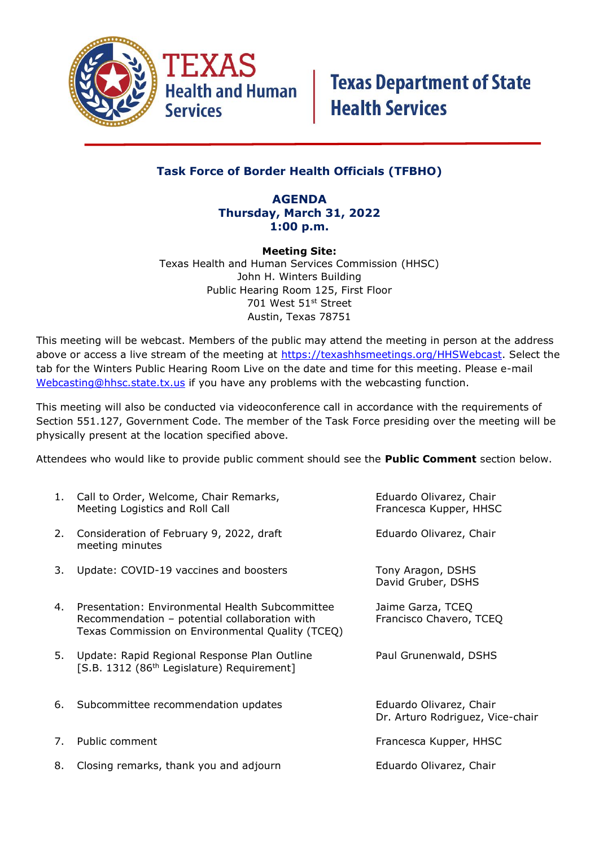

### **Task Force of Border Health Officials (TFBHO)**

### **AGENDA Thursday, March 31, 2022 1:00 p.m.**

**Meeting Site:** Texas Health and Human Services Commission (HHSC) John H. Winters Building Public Hearing Room 125, First Floor 701 West 51st Street Austin, Texas 78751

This meeting will be webcast. Members of the public may attend the meeting in person at the address above or access a live stream of the meeting at [https://texashhsmeetings.org/HHSWebcast.](https://texashhsmeetings.org/HHSWebcast) Select the tab for the Winters Public Hearing Room Live on the date and time for this meeting. Please e-mail [Webcasting@hhsc.state.tx.us](mailto:Webcasting@hhsc.state.tx.us) if you have any problems with the webcasting function.

This meeting will also be conducted via videoconference call in accordance with the requirements of Section 551.127, Government Code. The member of the Task Force presiding over the meeting will be physically present at the location specified above.

Attendees who would like to provide public comment should see the **Public Comment** section below.

|    | 1. Call to Order, Welcome, Chair Remarks,<br>Meeting Logistics and Roll Call                                                                         | Eduardo Olivarez, Chair<br>Francesca Kupper, HHSC           |
|----|------------------------------------------------------------------------------------------------------------------------------------------------------|-------------------------------------------------------------|
| 2. | Consideration of February 9, 2022, draft<br>meeting minutes                                                                                          | Eduardo Olivarez, Chair                                     |
| 3. | Update: COVID-19 vaccines and boosters                                                                                                               | Tony Aragon, DSHS<br>David Gruber, DSHS                     |
| 4. | Presentation: Environmental Health Subcommittee<br>Recommendation - potential collaboration with<br>Texas Commission on Environmental Quality (TCEQ) | Jaime Garza, TCEQ<br>Francisco Chavero, TCEQ                |
| 5. | Update: Rapid Regional Response Plan Outline<br>[S.B. 1312 (86 <sup>th</sup> Legislature) Requirement]                                               | Paul Grunenwald, DSHS                                       |
| 6. | Subcommittee recommendation updates                                                                                                                  | Eduardo Olivarez, Chair<br>Dr. Arturo Rodriguez, Vice-chair |
| 7. | Public comment                                                                                                                                       | Francesca Kupper, HHSC                                      |
| 8. | Closing remarks, thank you and adjourn                                                                                                               | Eduardo Olivarez, Chair                                     |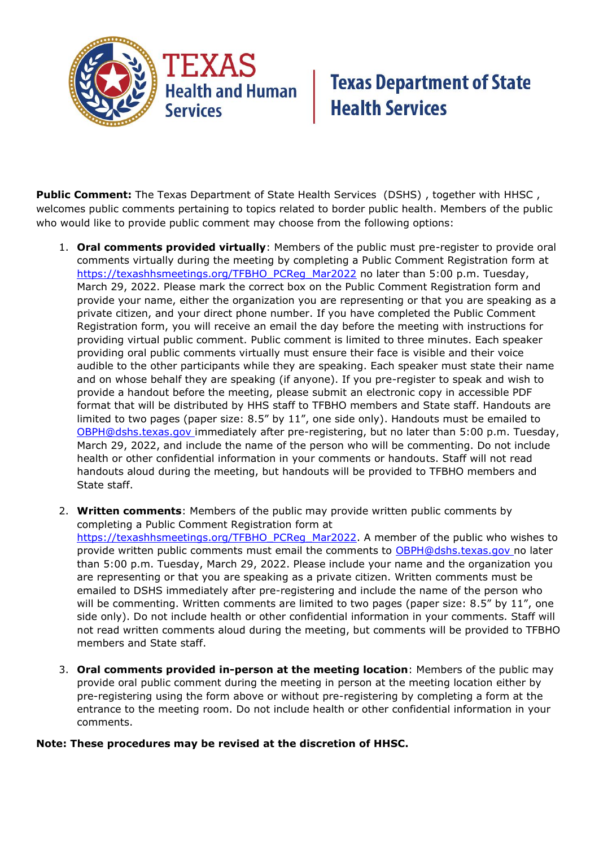

## **Texas Department of State<br>Health Services**

**Public Comment:** The Texas Department of State Health Services (DSHS) , together with HHSC , welcomes public comments pertaining to topics related to border public health. Members of the public who would like to provide public comment may choose from the following options:

- 1. **Oral comments provided virtually**: Members of the public must pre-register to provide oral comments virtually during the meeting by completing a Public Comment Registration form at [https://texashhsmeetings.org/TFBHO\\_PCReg\\_Mar2022](https://texashhsmeetings.org/TFBHO_PCReg_Mar2022) no later than 5:00 p.m. Tuesday, March 29, 2022. Please mark the correct box on the Public Comment Registration form and provide your name, either the organization you are representing or that you are speaking as a private citizen, and your direct phone number. If you have completed the Public Comment Registration form, you will receive an email the day before the meeting with instructions for providing virtual public comment. Public comment is limited to three minutes. Each speaker providing oral public comments virtually must ensure their face is visible and their voice audible to the other participants while they are speaking. Each speaker must state their name and on whose behalf they are speaking (if anyone). If you pre-register to speak and wish to provide a handout before the meeting, please submit an electronic copy in accessible PDF format that will be distributed by HHS staff to TFBHO members and State staff. Handouts are limited to two pages (paper size:  $8.5''$  by  $11''$ , one side only). Handouts must be emailed to [OBPH@dshs.texas.gov](mailto:OBPH@dshs.texas.gov) immediately after pre-registering, but no later than 5:00 p.m. Tuesday, March 29, 2022, and include the name of the person who will be commenting. Do not include health or other confidential information in your comments or handouts. Staff will not read handouts aloud during the meeting, but handouts will be provided to TFBHO members and State staff.
- 2. **Written comments**: Members of the public may provide written public comments by completing a Public Comment Registration form at [https://texashhsmeetings.org/TFBHO\\_PCReg\\_Mar2022.](https://texashhsmeetings.org/TFBHO_PCReg_Mar2022) A member of the public who wishes to provide written public comments must email the comments to [OBPH@dshs.texas.gov](mailto:OBPH@dshs.texas.gov) no later than 5:00 p.m. Tuesday, March 29, 2022. Please include your name and the organization you are representing or that you are speaking as a private citizen. Written comments must be emailed to DSHS immediately after pre-registering and include the name of the person who will be commenting. Written comments are limited to two pages (paper size: 8.5" by 11", one side only). Do not include health or other confidential information in your comments. Staff will not read written comments aloud during the meeting, but comments will be provided to TFBHO members and State staff.
- 3. **Oral comments provided in-person at the meeting location**: Members of the public may provide oral public comment during the meeting in person at the meeting location either by pre-registering using the form above or without pre-registering by completing a form at the entrance to the meeting room. Do not include health or other confidential information in your comments.

#### **Note: These procedures may be revised at the discretion of HHSC.**